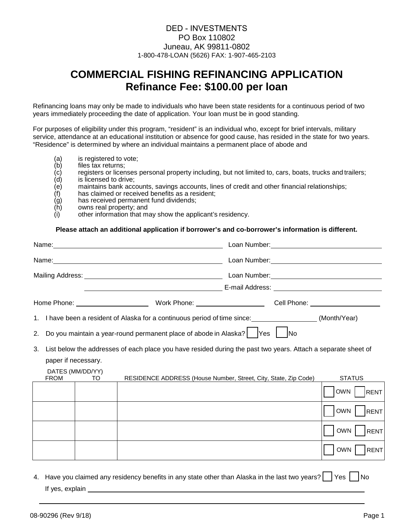## DED - INVESTMENTS PO Box 110802 Juneau, AK 99811-0802 1-800-478-LOAN (5626) FAX: 1-907-465-2103

## **COMMERCIAL FISHING REFINANCING APPLICATION Refinance Fee: \$100.00 per loan**

Refinancing loans may only be made to individuals who have been state residents for a continuous period of two years immediately proceeding the date of application. Your loan must be in good standing.

For purposes of eligibility under this program, "resident" is an individual who, except for brief intervals, military service, attendance at an educational institution or absence for good cause, has resided in the state for two years. "Residence" is determined by where an individual maintains a permanent place of abode and

- (a) is registered to vote;<br>(b) files tax returns;
- (b) files tax returns;<br>(c) registers or licen
- (c) registers or licenses personal property including, but not limited to, cars, boats, trucks and trailers;<br>(d) is licensed to drive;
- (d) is licensed to drive;<br>(e) maintains bank acc
- maintains bank accounts, savings accounts, lines of credit and other financial relationships;
- (f) has claimed or received benefits as a resident;
- (g) has received permanent fund dividends;
- (h) owns real property; and
- $(i)$  other information that may show the applicant's residency.

## **Please attach an additional application if borrower's and co-borrower's information is different.**

|    |                                                                                                               |           | Loan Number: National Accounts and Accounts and Accounts and Accounts and Accounts and Accounts and Accounts and Accounts and Accounts and Accounts and Accounts and Accounts and Accounts and Accounts and Accounts and Accou |  |                           |  |
|----|---------------------------------------------------------------------------------------------------------------|-----------|--------------------------------------------------------------------------------------------------------------------------------------------------------------------------------------------------------------------------------|--|---------------------------|--|
|    |                                                                                                               |           |                                                                                                                                                                                                                                |  |                           |  |
|    |                                                                                                               |           |                                                                                                                                                                                                                                |  |                           |  |
|    |                                                                                                               |           |                                                                                                                                                                                                                                |  |                           |  |
|    |                                                                                                               |           |                                                                                                                                                                                                                                |  |                           |  |
| 1. |                                                                                                               |           | I have been a resident of Alaska for a continuous period of time since: __________________(Month/Year)                                                                                                                         |  |                           |  |
| 2. | Do you maintain a year-round permanent place of abode in Alaska?   Yes   No                                   |           |                                                                                                                                                                                                                                |  |                           |  |
| 3. | List below the addresses of each place you have resided during the past two years. Attach a separate sheet of |           |                                                                                                                                                                                                                                |  |                           |  |
|    | paper if necessary.                                                                                           |           |                                                                                                                                                                                                                                |  |                           |  |
|    | DATES (MM/DD/YY)<br><b>FROM</b>                                                                               | <b>TO</b> | RESIDENCE ADDRESS (House Number, Street, City, State, Zip Code)                                                                                                                                                                |  | <b>STATUS</b>             |  |
|    |                                                                                                               |           |                                                                                                                                                                                                                                |  | OWN<br><b>RENT</b>        |  |
|    |                                                                                                               |           |                                                                                                                                                                                                                                |  | OWN  <br>RENT             |  |
|    |                                                                                                               |           |                                                                                                                                                                                                                                |  | OWN  <br><b>RENT</b>      |  |
|    |                                                                                                               |           |                                                                                                                                                                                                                                |  | <b>OWN</b><br><b>RENT</b> |  |

4. Have you claimed any residency benefits in any state other than Alaska in the last two years?  $\vert \vert$  Yes  $\vert \vert$  No If yes, explain